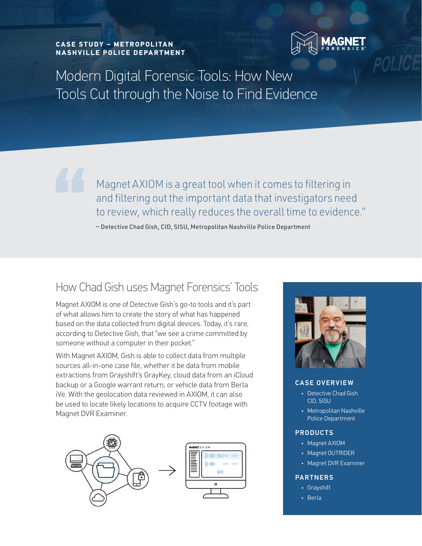**CA SE STUDY – ME TROPOLITAN NA SHVILLE POLICE DEPARTMENT** 



POLICE

Modern Digital Forensic Tools: How New Tools Cut through the Noise to Find Evidence

> Magnet AXIOM is a great tool when it comes to filtering in and filtering out the important data that investigators need to review, which really reduces the overall time to evidence."

— Detective Chad Gish, CID, SISU, Metropolitan Nashville Police Department

#### How Chad Gish uses Magnet Forensics' Tools

Magnet AXIOM is one of Detective Gish's go-to tools and it's part of what allows him to create the story of what has happened based on the data collected from digital devices. Today, it's rare, according to Detective Gish, that "we see a crime committed by someone without a computer in their pocket."

With Magnet AXIOM, Gish is able to collect data from multiple sources all-in-one case file, whether it be data from mobile extractions from Grayshift's GrayKey, cloud data from an iCloud backup or a Google warrant return, or vehicle data from Berla iVe. With the geolocation data reviewed in AXIOM, it can also be used to locate likely locations to acquire CCTV footage with Magnet DVR Examiner.





#### CASE OVERVIEW

- Detective Chad Gish CID, SISU
- Metropolitan Nashville Police Department

#### PRODUCTS

- Magnet AXIOM
- Magnet OUTRIDER
- Magnet DVR Examiner

#### PARTNERS

- Grayshift
- Berla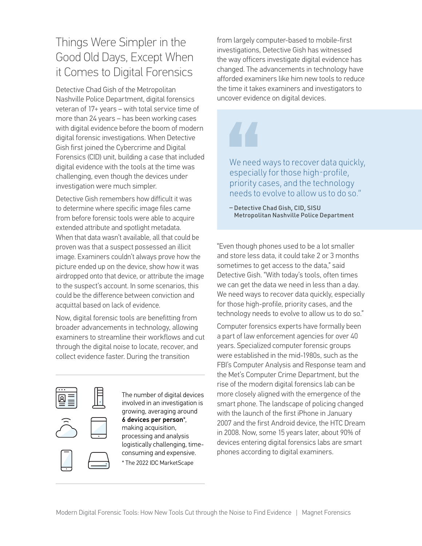## Things Were Simpler in the Good Old Days, Except When it Comes to Digital Forensics

Detective Chad Gish of the Metropolitan Nashville Police Department, digital forensics veteran of 17+ years – with total service time of more than 24 years – has been working cases with digital evidence before the boom of modern digital forensic investigations. When Detective Gish first joined the Cybercrime and Digital Forensics (CID) unit, building a case that included digital evidence with the tools at the time was challenging, even though the devices under investigation were much simpler.

Detective Gish remembers how difficult it was to determine where specific image files came from before forensic tools were able to acquire extended attribute and spotlight metadata. When that data wasn't available, all that could be proven was that a suspect possessed an illicit image. Examiners couldn't always prove how the picture ended up on the device, show how it was airdropped onto that device, or attribute the image to the suspect's account. In some scenarios, this could be the difference between conviction and acquittal based on lack of evidence.

Now, digital forensic tools are benefitting from broader advancements in technology, allowing examiners to streamline their workflows and cut through the digital noise to locate, recover, and collect evidence faster. During the transition







The number of digital devices involved in an investigation is growing, averaging around 6 devices per person\*, making acquisition, processing and analysis logistically challenging, timeconsuming and expensive. \* The 2022 IDC MarketScape

from largely computer-based to mobile-first investigations, Detective Gish has witnessed the way officers investigate digital evidence has changed. The advancements in technology have afforded examiners like him new tools to reduce the time it takes examiners and investigators to uncover evidence on digital devices.

We need ways to recover data quickly, especially for those high-profile, priority cases, and the technology needs to evolve to allow us to do so."

— Detective Chad Gish, CID, SISU Metropolitan Nashville Police Department

"Even though phones used to be a lot smaller and store less data, it could take 2 or 3 months sometimes to get access to the data," said Detective Gish. "With today's tools, often times we can get the data we need in less than a day. We need ways to recover data quickly, especially for those high-profile, priority cases, and the technology needs to evolve to allow us to do so."

Computer forensics experts have formally been a part of law enforcement agencies for over 40 years. Specialized computer forensic groups were established in the mid-1980s, such as the FBI's Computer Analysis and Response team and the Met's Computer Crime Department, but the rise of the modern digital forensics lab can be more closely aligned with the emergence of the smart phone. The landscape of policing changed with the launch of the first iPhone in January 2007 and the first Android device, the HTC Dream in 2008. Now, some 15 years later, about 90% of devices entering digital forensics labs are smart phones according to digital examiners.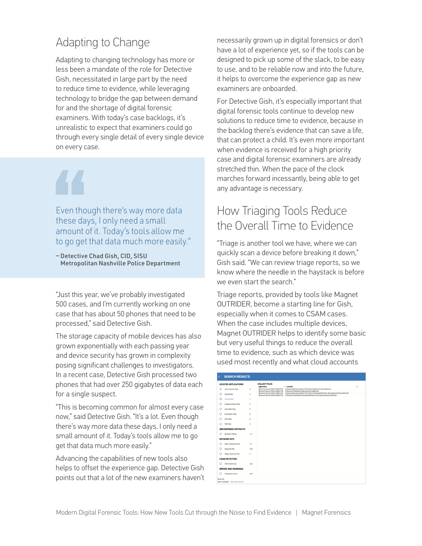## Adapting to Change

Adapting to changing technology has more or less been a mandate of the role for Detective Gish, necessitated in large part by the need to reduce time to evidence, while leveraging technology to bridge the gap between demand for and the shortage of digital forensic examiners. With today's case backlogs, it's unrealistic to expect that examiners could go through every single detail of every single device on every case.

Even though there's way more data these days, I only need a small amount of it. Today's tools allow me to go get that data much more easily."

— Detective Chad Gish, CID, SISU Metropolitan Nashville Police Department

"Just this year, we've probably investigated 500 cases, and I'm currently working on one case that has about 50 phones that need to be processed," said Detective Gish.

The storage capacity of mobile devices has also grown exponentially with each passing year and device security has grown in complexity posing significant challenges to investigators. In a recent case, Detective Gish processed two phones that had over 250 gigabytes of data each for a single suspect.

"This is becoming common for almost every case now," said Detective Gish. "It's a lot. Even though there's way more data these days, I only need a small amount of it. Today's tools allow me to go get that data much more easily."

Advancing the capabilities of new tools also helps to offset the experience gap. Detective Gish points out that a lot of the new examiners haven't necessarily grown up in digital forensics or don't have a lot of experience yet, so if the tools can be designed to pick up some of the slack, to be easy to use, and to be reliable now and into the future, it helps to overcome the experience gap as new examiners are onboarded.

For Detective Gish, it's especially important that digital forensic tools continue to develop new solutions to reduce time to evidence, because in the backlog there's evidence that can save a life, that can protect a child. It's even more important when evidence is received for a high priority case and digital forensic examiners are already stretched thin. When the pace of the clock marches forward incessantly, being able to get any advantage is necessary.

### How Triaging Tools Reduce the Overall Time to Evidence

"Triage is another tool we have, where we can quickly scan a device before breaking it down," Gish said. "We can review triage reports, so we know where the needle in the haystack is before we even start the search."

Triage reports, provided by tools like Magnet OUTRIDER, become a starting line for Gish, especially when it comes to CSAM cases. When the case includes multiple devices, Magnet OUTRIDER helps to identify some basic but very useful things to reduce the overall time to evidence, such as which device was used most recently and what cloud accounts

|   | <b>LOCATED APPLICATIONS</b>  |         | <b>COLLECT FILES</b><br>Application                                      | Location                                                                                                                                           |  |
|---|------------------------------|---------|--------------------------------------------------------------------------|----------------------------------------------------------------------------------------------------------------------------------------------------|--|
| ▭ | Anti-Forensic Files          | 8       | Bitcoin/Litecoin/Other Wallet File<br>Bitcoin/Litecoin/Other Wallet File | /Users/randy/Documents/Test Data/Crypocurrency/wallet.dat<br>/Volumes/TestData/Crypocurrency/wallet.dat                                            |  |
| Φ | Cloud Files                  | 4       | Bitcoin/Litecoin/Other Wallet File<br>Bitcoin/Litecoin/Other Wallet File | /Users/randy/Documents/Test Data/CompressedVersion.zip:Crypocumency/wallet.dat<br>/Volumes/TestData/CompressedVersion.zip.Crypocurrency/wallet.dat |  |
| о | <b>Collect Files</b>         | ä       |                                                                          |                                                                                                                                                    |  |
| c | Cryptocumency Files          | 4       |                                                                          |                                                                                                                                                    |  |
| ▭ | Dark Web Files               | 8       |                                                                          |                                                                                                                                                    |  |
| c | <b>Encryption Files</b>      | 8       |                                                                          |                                                                                                                                                    |  |
| ∊ | P2P Files                    | ń       |                                                                          |                                                                                                                                                    |  |
| с | <b>VM Files</b>              | 4       |                                                                          |                                                                                                                                                    |  |
|   | <b>WEB BROWSER ARTIFACTS</b> |         |                                                                          |                                                                                                                                                    |  |
| ▭ | <b>Browser History</b>       | 171     |                                                                          |                                                                                                                                                    |  |
|   | <b>KEYWORD HITS</b>          |         |                                                                          |                                                                                                                                                    |  |
| o | <b>Built-in Keyword Hits</b> | 19      |                                                                          |                                                                                                                                                    |  |
|   | Keyword Hits                 | 169     |                                                                          |                                                                                                                                                    |  |
| Q | Regex Keyword Hits           | $\circ$ |                                                                          |                                                                                                                                                    |  |
|   | <b>CSAM DETECTION</b>        |         |                                                                          |                                                                                                                                                    |  |
| o | CRC CSAM Hits                | 126     |                                                                          |                                                                                                                                                    |  |
|   | <b>ERRORS AND WARNINGS</b>   |         |                                                                          |                                                                                                                                                    |  |
| ▭ | <b>Filesystem Errors</b>     | 319     |                                                                          |                                                                                                                                                    |  |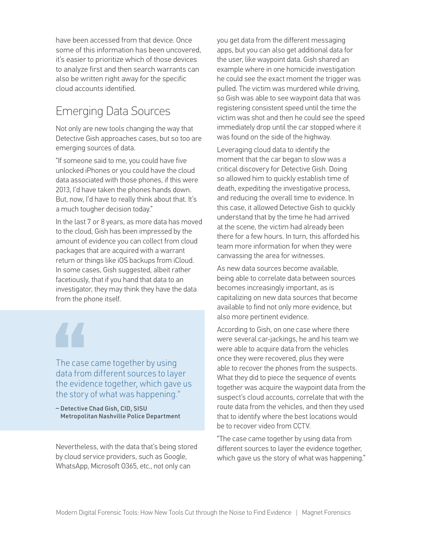have been accessed from that device. Once some of this information has been uncovered, it's easier to prioritize which of those devices to analyze first and then search warrants can also be written right away for the specific cloud accounts identified.

### Emerging Data Sources

Not only are new tools changing the way that Detective Gish approaches cases, but so too are emerging sources of data.

"If someone said to me, you could have five unlocked iPhones or you could have the cloud data associated with those phones, if this were 2013, I'd have taken the phones hands down. But, now, I'd have to really think about that. It's a much tougher decision today."

In the last 7 or 8 years, as more data has moved to the cloud, Gish has been impressed by the amount of evidence you can collect from cloud packages that are acquired with a warrant return or things like iOS backups from iCloud. In some cases, Gish suggested, albeit rather facetiously, that if you hand that data to an investigator, they may think they have the data from the phone itself.

The case came together by using data from different sources to layer the evidence together, which gave us the story of what was happening."

— Detective Chad Gish, CID, SISU Metropolitan Nashville Police Department

Nevertheless, with the data that's being stored by cloud service providers, such as Google, WhatsApp, Microsoft O365, etc., not only can

you get data from the different messaging apps, but you can also get additional data for the user, like waypoint data. Gish shared an example where in one homicide investigation he could see the exact moment the trigger was pulled. The victim was murdered while driving, so Gish was able to see waypoint data that was registering consistent speed until the time the victim was shot and then he could see the speed immediately drop until the car stopped where it was found on the side of the highway.

Leveraging cloud data to identify the moment that the car began to slow was a critical discovery for Detective Gish. Doing so allowed him to quickly establish time of death, expediting the investigative process, and reducing the overall time to evidence. In this case, it allowed Detective Gish to quickly understand that by the time he had arrived at the scene, the victim had already been there for a few hours. In turn, this afforded his team more information for when they were canvassing the area for witnesses.

As new data sources become available, being able to correlate data between sources becomes increasingly important, as is capitalizing on new data sources that become available to find not only more evidence, but also more pertinent evidence.

According to Gish, on one case where there were several car-jackings, he and his team we were able to acquire data from the vehicles once they were recovered, plus they were able to recover the phones from the suspects. What they did to piece the sequence of events together was acquire the waypoint data from the suspect's cloud accounts, correlate that with the route data from the vehicles, and then they used that to identify where the best locations would be to recover video from CCTV.

"The case came together by using data from different sources to layer the evidence together, which gave us the story of what was happening."